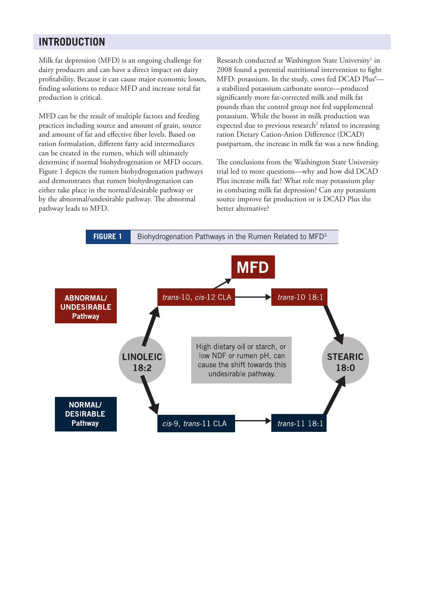# **INTRODUCTION**

Milk fat depression (MFD) is an ongoing challenge for dairy producers and can have a direct impact on dairy profitability. Because it can cause major economic losses, finding solutions to reduce MFD and increase total fat production is critical.

MFD can be the result of multiple factors and feeding practices including source and amount of grain, source and amount of fat and effective fiber levels. Based on ration formulation, different fatty acid intermediates can be created in the rumen, which will ultimately determine if normal biohydrogenation or MFD occurs. Figure 1 depicts the rumen biohydrogenation pathways and demonstrates that rumen biohydrogenation can either take place in the normal/desirable pathway or by the abnormal/undesirable pathway. The abnormal pathway leads to MFD.

Research conducted at Washington State University<sup>1</sup> in 2008 found a potential nutritional intervention to fight MFD: potassium. In the study, cows fed DCAD Plus<sup>®</sup>a stabilized potassium carbonate source—produced significantly more fat-corrected milk and milk fat pounds than the control group not fed supplemental potassium. While the boost in milk production was expected due to previous research<sup>2</sup> related to increasing ration Dietary Cation-Anion Difference (DCAD) postpartum, the increase in milk fat was a new finding.

The conclusions from the Washington State University trial led to more questions—why and how did DCAD Plus increase milk fat? What role may potassium play in combating milk fat depression? Can any potassium source improve fat production or is DCAD Plus the better alternative?

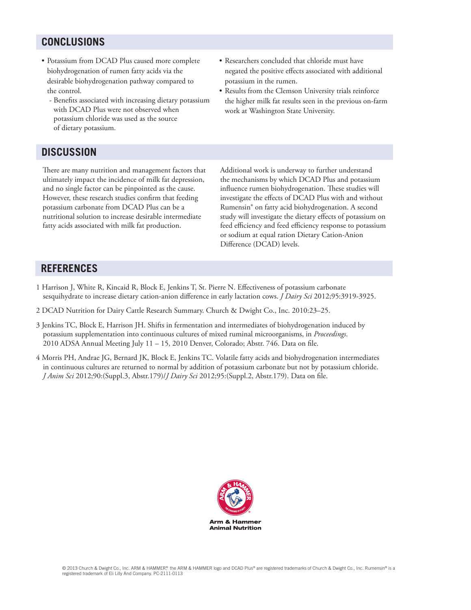# **Conclusions**

- • Potassium from DCAD Plus caused more complete biohydrogenation of rumen fatty acids via the desirable biohydrogenation pathway compared to the control.
	- Benefits associated with increasing dietary potassium with DCAD Plus were not observed when potassium chloride was used as the source of dietary potassium.
- • Researchers concluded that chloride must have negated the positive effects associated with additional potassium in the rumen.
- Results from the Clemson University trials reinforce the higher milk fat results seen in the previous on-farm work at Washington State University.

# **Discussion**

There are many nutrition and management factors that ultimately impact the incidence of milk fat depression, and no single factor can be pinpointed as the cause. However, these research studies confirm that feeding potassium carbonate from DCAD Plus can be a nutritional solution to increase desirable intermediate fatty acids associated with milk fat production.

Additional work is underway to further understand the mechanisms by which DCAD Plus and potassium influence rumen biohydrogenation. These studies will investigate the effects of DCAD Plus with and without Rumensin® on fatty acid biohydrogenation. A second study will investigate the dietary effects of potassium on feed efficiency and feed efficiency response to potassium or sodium at equal ration Dietary Cation-Anion Difference (DCAD) levels.

# **references**

- 1 Harrison J, White R, Kincaid R, Block E, Jenkins T, St. Pierre N. Effectiveness of potassium carbonate sesquihydrate to increase dietary cation-anion difference in early lactation cows. *J Dairy Sci* 2012;95:3919-3925.
- 2 DCAD Nutrition for Dairy Cattle Research Summary. Church & Dwight Co., Inc. 2010:23–25.
- 3 Jenkins TC, Block E, Harrison JH. Shifts in fermentation and intermediates of biohydrogenation induced by potassium supplementation into continuous cultures of mixed ruminal microorganisms, in *Proceedings*. 2010 ADSA Annual Meeting July 11 – 15, 2010 Denver, Colorado; Abstr. 746. Data on file.
- 4 Morris PH, Andrae JG, Bernard JK, Block E, Jenkins TC. Volatile fatty acids and biohydrogenation intermediates in continuous cultures are returned to normal by addition of potassium carbonate but not by potassium chloride. *J Anim Sci* 2012;90:(Suppl.3, Abstr.179)/*J Dairy Sci* 2012;95:(Suppl.2, Abstr.179). Data on file.

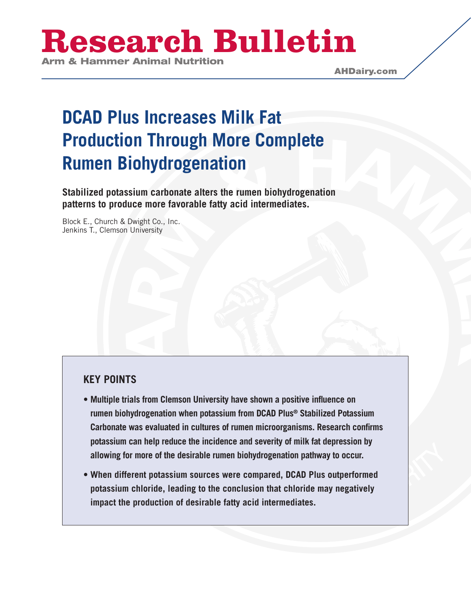# **Research Bulletin**

# **DCAD Plus Increases Milk Fat Production Through More Complete Rumen Biohydrogenation**

**Stabilized potassium carbonate alters the rumen biohydrogenation patterns to produce more favorable fatty acid intermediates.**

Block E., Church & Dwight Co., Inc. Jenkins T., Clemson University

# **key points**

- **• Multiple trials from Clemson University have shown a positive influence on rumen biohydrogenation when potassium from DCAD Plus® Stabilized Potassium Carbonate was evaluated in cultures of rumen microorganisms. Research confirms potassium can help reduce the incidence and severity of milk fat depression by allowing for more of the desirable rumen biohydrogenation pathway to occur.**
- **• When different potassium sources were compared, DCAD Plus outperformed potassium chloride, leading to the conclusion that chloride may negatively impact the production of desirable fatty acid intermediates.**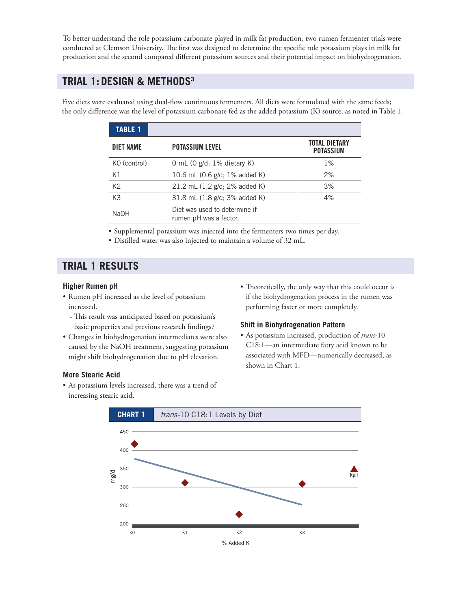To better understand the role potassium carbonate played in milk fat production, two rumen fermenter trials were conducted at Clemson University. The first was designed to determine the specific role potassium plays in milk fat production and the second compared different potassium sources and their potential impact on biohydrogenation.

## **TRIAL 1: Design & methods3**

Five diets were evaluated using dual-flow continuous fermenters. All diets were formulated with the same feeds; the only difference was the level of potassium carbonate fed as the added potassium (K) source, as noted in Table 1.

| <b>TABLE 1</b>   |                                                         |                                          |
|------------------|---------------------------------------------------------|------------------------------------------|
| <b>DIET NAME</b> | <b>POTASSIUM LEVEL</b>                                  | <b>TOTAL DIETARY</b><br><b>POTASSIUM</b> |
| KO (control)     | 0 mL (0 $g/d$ ; 1% dietary K)                           | $1\%$                                    |
| K1               | 10.6 mL (0.6 g/d; 1% added K)                           | 2%                                       |
| K <sub>2</sub>   | 21.2 mL (1.2 g/d; 2% added K)                           | 3%                                       |
| K3               | 31.8 mL (1.8 g/d; 3% added K)                           | 4%                                       |
| <b>NaOH</b>      | Diet was used to determine if<br>rumen pH was a factor. |                                          |

• Supplemental potassium was injected into the fermenters two times per day.

• Distilled water was also injected to maintain a volume of 32 mL.

# **trial 1 RESULTS**

#### **Higher Rumen pH**

- • Rumen pH increased as the level of potassium increased.
	- This result was anticipated based on potassium's basic properties and previous research findings.<sup>2</sup>
- • Changes in biohydrogenation intermediates were also caused by the NaOH treatment, suggesting potassium might shift biohydrogenation due to pH elevation.

#### **More Stearic Acid**

• As potassium levels increased, there was a trend of increasing stearic acid.

• Theoretically, the only way that this could occur is if the biohydrogenation process in the rumen was performing faster or more completely.

#### **Shift in Biohydrogenation Pattern**

• As potassium increased, production of *trans*-10 C18:1—an intermediate fatty acid known to be associated with MFD—numerically decreased, as shown in Chart 1.

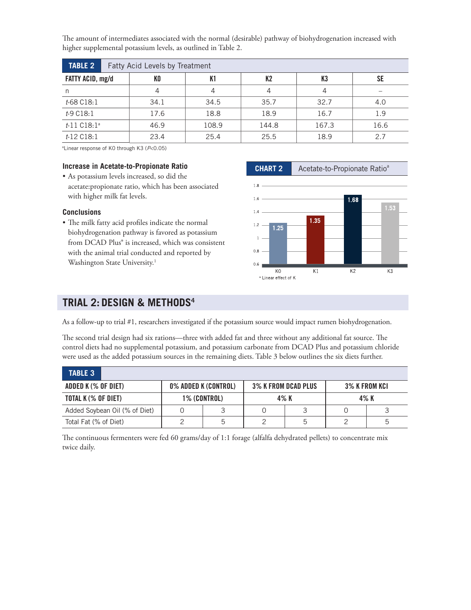The amount of intermediates associated with the normal (desirable) pathway of biohydrogenation increased with higher supplemental potassium levels, as outlined in Table 2.

| <b>TABLE 2</b>   |  | Fatty Acid Levels by Treatment |       |                |       |      |  |  |  |  |
|------------------|--|--------------------------------|-------|----------------|-------|------|--|--|--|--|
| FATTY ACID, mg/d |  | K <sub>0</sub>                 | K1    | K <sub>2</sub> | K3    | SE   |  |  |  |  |
| n                |  | 4                              | 4     | 4              | 4     |      |  |  |  |  |
| t-68 C18:1       |  | 34.1                           | 34.5  | 35.7           | 32.7  | 4.0  |  |  |  |  |
| t-9 C18:1        |  | 17.6                           | 18.8  | 18.9           | 16.7  | 1.9  |  |  |  |  |
| $t-11 C18:1^a$   |  | 46.9                           | 108.9 | 144.8          | 167.3 | 16.6 |  |  |  |  |
| t-12 C18:1       |  | 23.4                           | 25.4  | 25.5           | 18.9  | 2.7  |  |  |  |  |

a Linear response of K0 through K3 (*P*<0.05)

#### **Increase in Acetate-to-Propionate Ratio**

• As potassium levels increased, so did the acetate:propionate ratio, which has been associated with higher milk fat levels.

#### **Conclusions**

• The milk fatty acid profiles indicate the normal biohydrogenation pathway is favored as potassium from DCAD Plus® is increased, which was consistent with the animal trial conducted and reported by Washington State University.<sup>1</sup>



### **TRIAL 2: Design & methods4**

As a follow-up to trial #1, researchers investigated if the potassium source would impact rumen biohydrogenation.

The second trial design had six rations—three with added fat and three without any additional fat source. The control diets had no supplemental potassium, and potassium carbonate from DCAD Plus and potassium chloride were used as the added potassium sources in the remaining diets. Table 3 below outlines the six diets further.

| <b>TABLE 3</b>                |                      |    |                            |   |               |   |
|-------------------------------|----------------------|----|----------------------------|---|---------------|---|
| ADDED K (% OF DIET)           | 0% ADDED K (CONTROL) |    | <b>3% K FROM DCAD PLUS</b> |   | 3% K FROM KCI |   |
| TOTAL K (% OF DIET)           | 1% (CONTROL)         |    | 4% K                       |   | 4% K          |   |
| Added Soybean Oil (% of Diet) |                      |    |                            |   |               |   |
| Total Fat (% of Diet)         |                      | .h |                            | ხ |               | b |

The continuous fermenters were fed 60 grams/day of 1:1 forage (alfalfa dehydrated pellets) to concentrate mix twice daily.